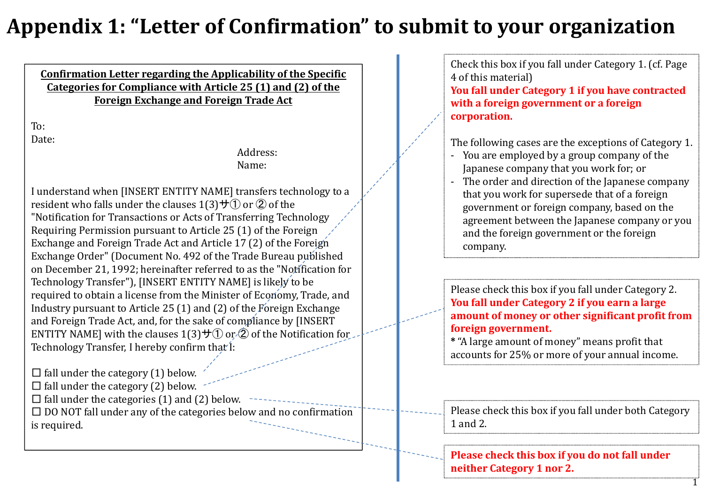## **Appendix 1: "Letter of Confirmation" to submit to your organization**

**Confirmation Letter regarding the Applicability of the Specific Categories for Compliance with Article 25 (1) and (2) of the Foreign Exchange and Foreign Trade Act**

To:Date:

> Address:Name:

I understand when [INSERT ENTITY NAME] transfers technology to <sup>a</sup> resident who falls under the clauses  $1(3)$ サ $\overline{0}$  or  $\overline{2}$  of the "Notification for Transactions or Acts of Transferring Technology Requiring Permission pursuant to Article 25 (1) of the Foreign Exchange and Foreign Trade Act and Article 17 (2) of the Foreign Exchange Order" (Document No. 492 of the Trade Bureau published on December 21, 1992; hereinafter referred to as the "Notification for Technology Transfer"), [INSERT ENTITY NAME] is likely to be required to obtain a license from the Minister of Economy, Trade, and Industry pursuant to Article 25 (1) and (2) of the Foreign Exchange and Foreign Trade Act, and, for the sake of compliance by [INSERT ENTITY NAME] with the clauses 1(3)サ① or ② of the Notification for Technology Transfer, I hereby confirm that I:

 $\square$  fall under the category (1) below.  $\square$  fall under the category (2) below.  $\square$  fall under the categories (1) and (2) below.  $\square$  DO NOT fall under any of the categories below and no confirmation is required.

Check this box if you fall under Category 1. (cf. Page 4 of this material)

**You fall under Category 1 if you have contracted with <sup>a</sup> foreign government or <sup>a</sup> foreign corporation.**

The following cases are the exceptions of Category 1.

- ‐ You are employed by <sup>a</sup> group company of the Japanese company that you work for; or
- ‐ The order and direction of the Japanese company that you work for supersede that of <sup>a</sup> foreign governmen<sup>t</sup> or foreign company, based on the agreemen<sup>t</sup> between the Japanese company or you and the foreign governmen<sup>t</sup> or the foreign company.

Please check this box if you fall under Category 2. **You fall under Category 2 if you earn <sup>a</sup> large amount of money or other significant profit from foreign government.**

**\*** "A large amount of money" means profit that accounts for 25% or more of your annual income.

Please check this box if you fall under both Category 1 and 2.

1

**Please check this box if you do not fall under neither Category 1 nor 2.**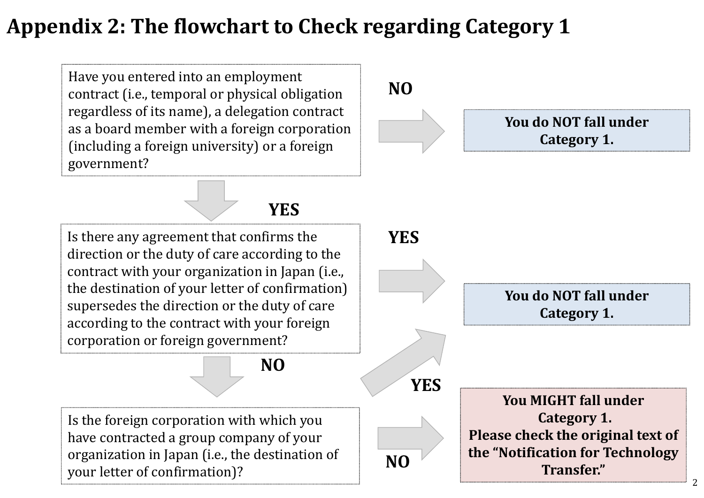## **Appendix 2: The flowchart to Check regarding Category 1**

Have you entered into an employment contract (i.e., temporal or physical obligation regardless of its name), <sup>a</sup> delegation contract as a board member with <sup>a</sup> foreign corporation (including <sup>a</sup> foreign university) or <sup>a</sup> foreign government?



**YES**

Is there any agreemen<sup>t</sup> that confirms the direction or the duty of care according to the contract with your organization in Japan (i.e., the destination of your letter of confirmation) supersedes the direction or the duty of care according to the contract with your foreign corporation or foreign government?

**NO**

Is the foreign corporation with which you have contracted <sup>a</sup> group company of your organization in Japan (i.e., the destination of your letter of confirmation)?



**You do NOT fall under Category 1.**

**YES**

**NO**

**You MIGHT fall under Category 1. Please check the original text of the "Notification for Technology Transfer."**